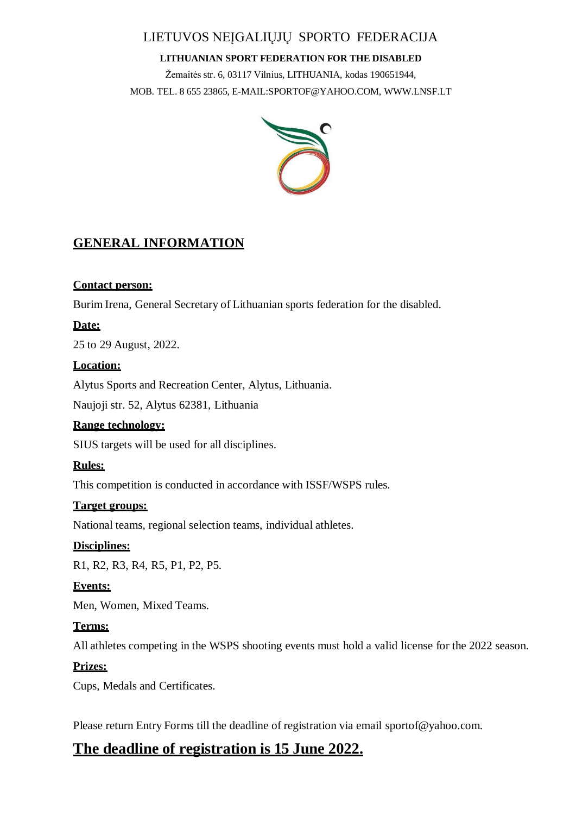# LIETUVOS NEĮGALIŲJŲ SPORTO FEDERACIJA

#### **LITHUANIAN SPORT FEDERATION FOR THE DISABLED**

Žemaitės str. 6, 03117 Vilnius, LITHUANIA, kodas 190651944, MOB. TEL. 8 655 23865, [E-MAIL:SPORTOF@YAHOO.COM,](mailto:SPORTOF@YAHOO.COM) [WWW.LNSF.LT](mailto:SPORTOF@YAHOO.COM)



# **GENERAL INFORMATION**

## **Contact person:**

Burim Irena, General Secretary of Lithuanian sports federation for the disabled.

# **Date:**

25 to 29 August, 2022.

## **Location:**

Alytus Sports and Recreation Center, Alytus, Lithuania.

Naujoji str. 52, Alytus 62381, Lithuania

#### **Range technology:**

SIUS targets will be used for all disciplines.

#### **Rules:**

This competition is conducted in accordance with ISSF/WSPS rules.

# **Target groups:**

National teams, regional selection teams, individual athletes.

# **Disciplines:**

R1, R2, R3, R4, R5, P1, P2, P5.

# **Events:**

Men, Women, Mixed Teams.

# **Terms:**

All athletes competing in the WSPS shooting events must hold a valid license for the 2022 season.

#### **Prizes:**

Cups, Medals and Certificates.

Please return Entry Forms till the deadline of registration via email [sportof@yahoo.com.](mailto:sportof@yahoo.com)

# **The deadline of registration is 15 June 2022.**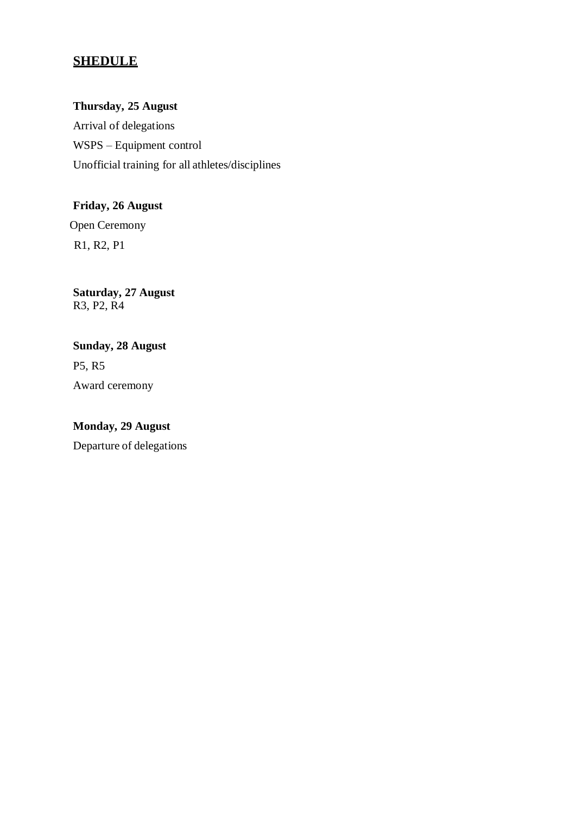# **SHEDULE**

**Thursday, 25 August** Arrival of delegations WSPS – Equipment control Unofficial training for all athletes/disciplines

**Friday, 26 August** Open Ceremony R1, R2, P1

**Saturday, 27 August** R3, P2, R4

**Sunday, 28 August** P5, R5 Award ceremony

**Monday, 29 August** Departure of delegations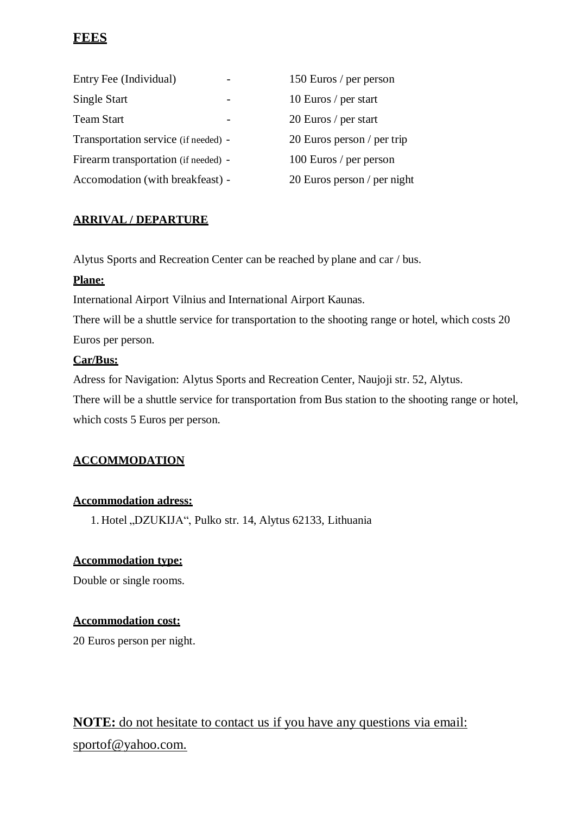# **FEES**

| Entry Fee (Individual)               | 150 Euros / per person      |
|--------------------------------------|-----------------------------|
| Single Start                         | 10 Euros / per start        |
| Team Start                           | 20 Euros / per start        |
| Transportation service (if needed) - | 20 Euros person / per trip  |
| Firearm transportation (if needed) - | 100 Euros / per person      |
| Accomodation (with breakfeast) -     | 20 Euros person / per night |

## **ARRIVAL / DEPARTURE**

Alytus Sports and Recreation Center can be reached by plane and car / bus.

#### **Plane:**

International Airport Vilnius and International Airport Kaunas.

There will be a shuttle service for transportation to the shooting range or hotel, which costs 20 Euros per person.

#### **Car/Bus:**

Adress for Navigation: Alytus Sports and Recreation Center, Naujoji str. 52, Alytus. There will be a shuttle service for transportation from Bus station to the shooting range or hotel, which costs 5 Euros per person.

# **ACCOMMODATION**

#### **Accommodation adress:**

1. Hotel "DZUKIJA", Pulko str. 14, Alytus 62133, Lithuania

#### **Accommodation type:**

Double or single rooms.

#### **Accommodation cost:**

20 Euros person per night.

# **NOTE:** do not hesitate to contact us if you have any questions via email: [sportof@yahoo.com.](mailto:sportof@yahoo.com)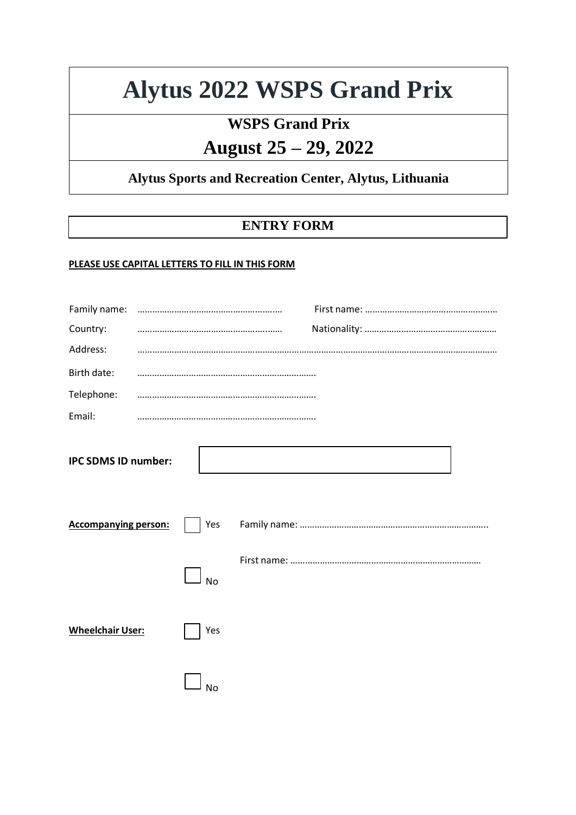# **Alytus 2022 WSPS Grand Prix**

# **WSPS Grand Prix August 25 – 29, 2022**

# **Alytus Sports and Recreation Center, Alytus, Lithuania**

# **ENTRY FORM**

#### **PLEASE USE CAPITAL LETTERS TO FILL IN THIS FORM**

| Family name:                |           |  |  |
|-----------------------------|-----------|--|--|
| Country:                    |           |  |  |
| Address:                    |           |  |  |
| Birth date:                 |           |  |  |
| Telephone:                  |           |  |  |
| Email:                      |           |  |  |
| <b>IPC SDMS ID number:</b>  |           |  |  |
| <b>Accompanying person:</b> | Yes       |  |  |
|                             | <b>No</b> |  |  |
| <b>Wheelchair User:</b>     | Yes       |  |  |
|                             | No        |  |  |